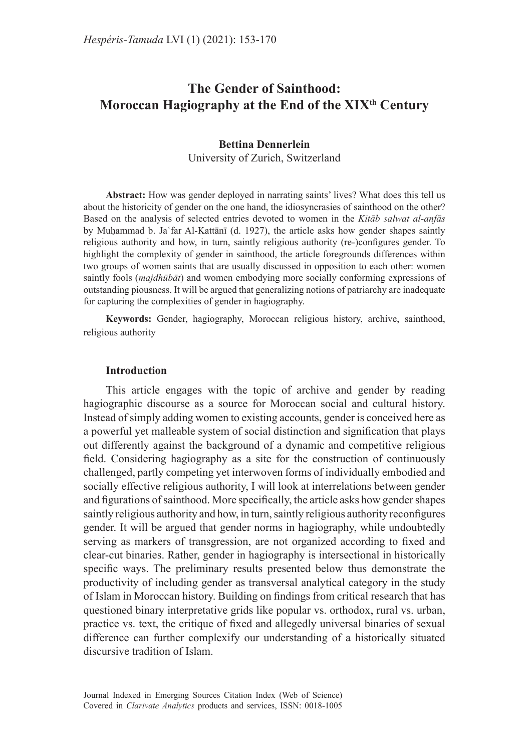# **The Gender of Sainthood:**  Moroccan Hagiography at the End of the XIX<sup>th</sup> Century

## **Bettina Dennerlein** University of Zurich, Switzerland

**Abstract:** How was gender deployed in narrating saints' lives? What does this tell us about the historicity of gender on the one hand, the idiosyncrasies of sainthood on the other? Based on the analysis of selected entries devoted to women in the *Kitāb salwat al-anfās* by Muhammad b. Ja far Al-Kattānī (d. 1927), the article asks how gender shapes saintly religious authority and how, in turn, saintly religious authority (re-)configures gender. To highlight the complexity of gender in sainthood, the article foregrounds differences within two groups of women saints that are usually discussed in opposition to each other: women saintly fools (*majdhūbāt*) and women embodying more socially conforming expressions of outstanding piousness. It will be argued that generalizing notions of patriarchy are inadequate for capturing the complexities of gender in hagiography.

**Keywords:** Gender, hagiography, Moroccan religious history, archive, sainthood, religious authority

## **Introduction**

This article engages with the topic of archive and gender by reading hagiographic discourse as a source for Moroccan social and cultural history. Instead of simply adding women to existing accounts, gender is conceived here as a powerful yet malleable system of social distinction and signification that plays out differently against the background of a dynamic and competitive religious field. Considering hagiography as a site for the construction of continuously challenged, partly competing yet interwoven forms of individually embodied and socially effective religious authority, I will look at interrelations between gender and figurations of sainthood. More specifically, the article asks how gender shapes saintly religious authority and how, in turn, saintly religious authority reconfigures gender. It will be argued that gender norms in hagiography, while undoubtedly serving as markers of transgression, are not organized according to fixed and clear-cut binaries. Rather, gender in hagiography is intersectional in historically specific ways. The preliminary results presented below thus demonstrate the productivity of including gender as transversal analytical category in the study of Islam in Moroccan history. Building on findings from critical research that has questioned binary interpretative grids like popular vs. orthodox, rural vs. urban, practice vs. text, the critique of fixed and allegedly universal binaries of sexual difference can further complexify our understanding of a historically situated discursive tradition of Islam.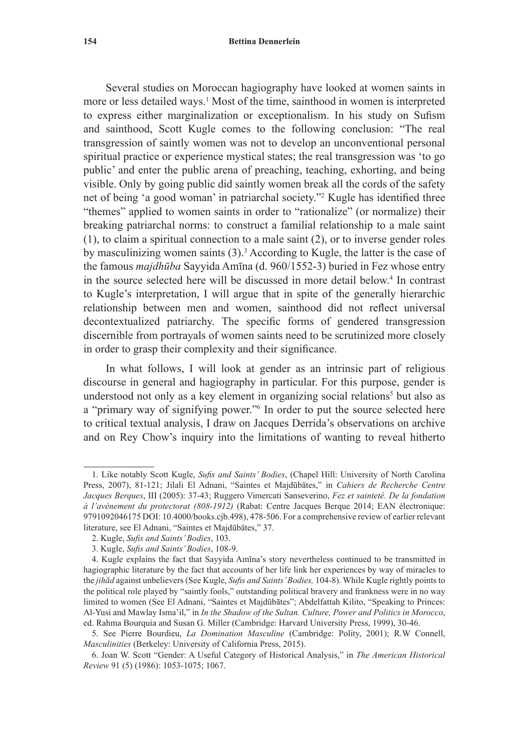#### **154 Bettina Dennerlein**

Several studies on Moroccan hagiography have looked at women saints in more or less detailed ways.<sup>1</sup> Most of the time, sainthood in women is interpreted to express either marginalization or exceptionalism. In his study on Sufism and sainthood, Scott Kugle comes to the following conclusion: "The real transgression of saintly women was not to develop an unconventional personal spiritual practice or experience mystical states; the real transgression was 'to go public' and enter the public arena of preaching, teaching, exhorting, and being visible. Only by going public did saintly women break all the cords of the safety net of being 'a good woman' in patriarchal society."2 Kugle has identified three "themes" applied to women saints in order to "rationalize" (or normalize) their breaking patriarchal norms: to construct a familial relationship to a male saint (1), to claim a spiritual connection to a male saint (2), or to inverse gender roles by masculinizing women saints  $(3)$ .<sup>3</sup> According to Kugle, the latter is the case of the famous *majdhūba* Sayyida Amīna (d. 960/1552-3) buried in Fez whose entry in the source selected here will be discussed in more detail below.<sup>4</sup> In contrast to Kugle's interpretation, I will argue that in spite of the generally hierarchic relationship between men and women, sainthood did not reflect universal decontextualized patriarchy. The specific forms of gendered transgression discernible from portrayals of women saints need to be scrutinized more closely in order to grasp their complexity and their significance.

In what follows, I will look at gender as an intrinsic part of religious discourse in general and hagiography in particular. For this purpose, gender is understood not only as a key element in organizing social relations<sup>5</sup> but also as a "primary way of signifying power."<sup>6</sup> In order to put the source selected here to critical textual analysis, I draw on Jacques Derrida's observations on archive and on Rey Chow's inquiry into the limitations of wanting to reveal hitherto

<sup>1.</sup> Like notably Scott Kugle, *Sufis and Saints' Bodies*, (Chapel Hill: University of North Carolina Press, 2007), 81-121; Jilali El Adnani, "Saintes et Majdūbātes," in *Cahiers de Recherche Centre Jacques Berques*, III (2005): 37-43; Ruggero Vimercati Sanseverino, *Fez et sainteté. De la fondation à l'avènement du protectorat (808-1912)* (Rabat: Centre Jacques Berque 2014; EAN électronique: 9791092046175 DOI: 10.4000/books.cjb.498), 478-506. For a comprehensive review of earlier relevant literature, see El Adnani, "Saintes et Majdūbātes," 37.

<sup>2.</sup> Kugle, *Sufis and Saints' Bodies*, 103.

<sup>3.</sup> Kugle, *Sufis and Saints' Bodies*, 108-9.

<sup>4</sup>. Kugle explains the fact that Sayyida Amīna's story nevertheless continued to be transmitted in hagiographic literature by the fact that accounts of her life link her experiences by way of miracles to the *jihād* against unbelievers (See Kugle, *Sufis and Saints' Bodies,* 104-8). While Kugle rightly points to the political role played by "saintly fools," outstanding political bravery and frankness were in no way limited to women (See El Adnani, "Saintes et Majdūbātes"; Abdelfattah Kilito, "Speaking to Princes: Al-Yusi and Mawlay Isma'il," in *In the Shadow of the Sultan. Culture, Power and Politics in Morocco*, ed. Rahma Bourquia and Susan G. Miller (Cambridge: Harvard University Press, 1999), 30-46.

<sup>5.</sup> See Pierre Bourdieu, *La Domination Masculine* (Cambridge: Polity, 2001); R.W Connell, *Masculinities* (Berkeley: University of California Press, 2015).

<sup>6.</sup> Joan W. Scott "Gender: A Useful Category of Historical Analysis," in *The American Historical Review* 91 (5) (1986): 1053-1075; 1067.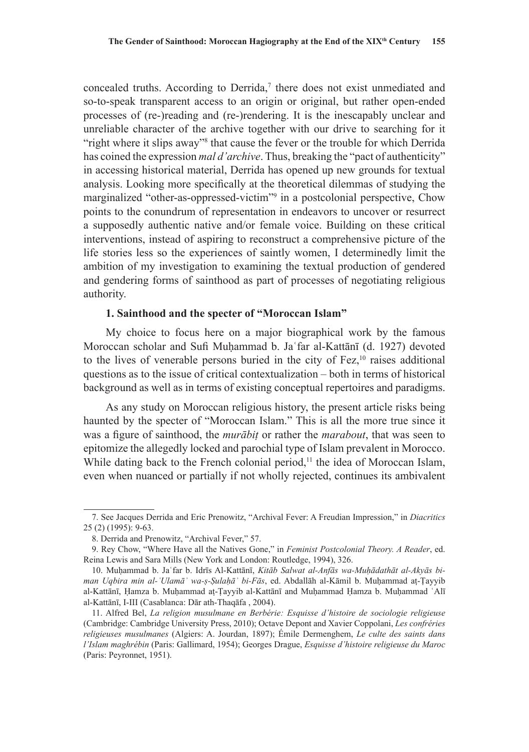concealed truths. According to Derrida, $\theta$  there does not exist unmediated and so-to-speak transparent access to an origin or original, but rather open-ended processes of (re-)reading and (re-)rendering. It is the inescapably unclear and unreliable character of the archive together with our drive to searching for it "right where it slips away"<sup>8</sup> that cause the fever or the trouble for which Derrida has coined the expression *mal d'archive*. Thus, breaking the "pact of authenticity" in accessing historical material, Derrida has opened up new grounds for textual analysis. Looking more specifically at the theoretical dilemmas of studying the marginalized "other-as-oppressed-victim"<sup>9</sup> in a postcolonial perspective, Chow points to the conundrum of representation in endeavors to uncover or resurrect a supposedly authentic native and/or female voice. Building on these critical interventions, instead of aspiring to reconstruct a comprehensive picture of the life stories less so the experiences of saintly women, I determinedly limit the ambition of my investigation to examining the textual production of gendered and gendering forms of sainthood as part of processes of negotiating religious authority.

## **1. Sainthood and the specter of "Moroccan Islam"**

My choice to focus here on a major biographical work by the famous Moroccan scholar and Sufi Muḥammad b. Jaʿfar al-Kattānī (d. 1927) devoted to the lives of venerable persons buried in the city of  $Fez$ ,<sup>10</sup> raises additional questions as to the issue of critical contextualization – both in terms of historical background as well as in terms of existing conceptual repertoires and paradigms.

As any study on Moroccan religious history, the present article risks being haunted by the specter of "Moroccan Islam." This is all the more true since it was a figure of sainthood, the *murābiṭ* or rather the *marabout*, that was seen to epitomize the allegedly locked and parochial type of Islam prevalent in Morocco. While dating back to the French colonial period, $11$  the idea of Moroccan Islam, even when nuanced or partially if not wholly rejected, continues its ambivalent

<sup>7.</sup> See Jacques Derrida and Eric Prenowitz, "Archival Fever: A Freudian Impression," in *Diacritics* 25 (2) (1995): 9-63.

<sup>8.</sup> Derrida and Prenowitz, "Archival Fever," 57.

<sup>9.</sup> Rey Chow, "Where Have all the Natives Gone," in *Feminist Postcolonial Theory. A Reader*, ed. Reina Lewis and Sara Mills (New York and London: Routledge, 1994), 326.

<sup>10.</sup> Muḥammad b. Jaʿfar b. Idrīs Al-Kattānī, *Kitāb Salwat al-Anfās wa-Muḥādathāt al-Akyās biman Uqbira min al-ʿUlamāʾ wa-ṣ-Ṣulaḥāʾ bi-Fās*, ed. Abdallāh al-Kāmil b. Muḥammad aṭ-Ṭayyib al-Kattānī, Ḥamza b. Muḥammad aṭ-Ṭayyib al-Kattānī and Muḥammad Ḥamza b. Muḥammad ʿAlī al-Kattānī, I-III (Casablanca: Dār ath-Thaqāfa , 2004).

<sup>11.</sup> Alfred Bel, *La religion musulmane en Berbérie: Esquisse d'histoire de sociologie religieuse* (Cambridge: Cambridge University Press, 2010); Octave Depont and Xavier Coppolani, *Les confréries religieuses musulmanes* (Algiers: A. Jourdan, 1897); Émile Dermenghem, *Le culte des saints dans l'Islam maghrébin* (Paris: Gallimard, 1954); Georges Drague, *Esquisse d'histoire religieuse du Maroc* (Paris: Peyronnet, 1951).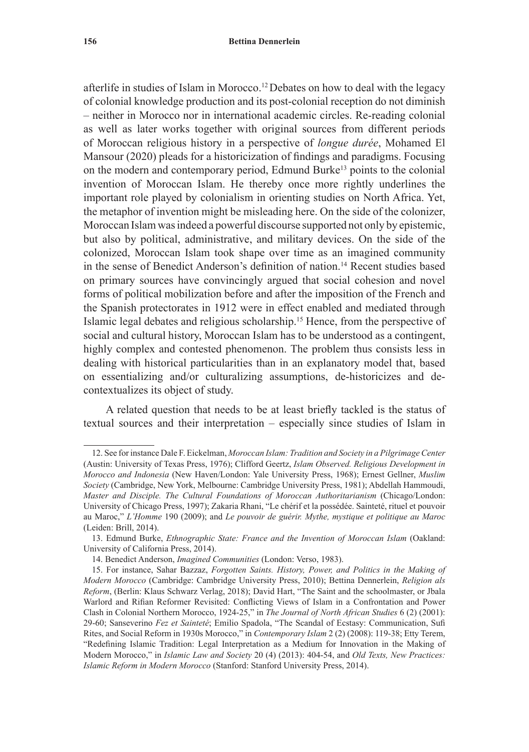afterlife in studies of Islam in Morocco.<sup>12</sup> Debates on how to deal with the legacy of colonial knowledge production and its post-colonial reception do not diminish – neither in Morocco nor in international academic circles. Re-reading colonial as well as later works together with original sources from different periods of Moroccan religious history in a perspective of *longue durée*, Mohamed El Mansour (2020) pleads for a historicization of findings and paradigms. Focusing on the modern and contemporary period, Edmund Burke<sup>13</sup> points to the colonial invention of Moroccan Islam. He thereby once more rightly underlines the important role played by colonialism in orienting studies on North Africa. Yet, the metaphor of invention might be misleading here. On the side of the colonizer, Moroccan Islam was indeed a powerful discourse supported not only by epistemic, but also by political, administrative, and military devices. On the side of the colonized, Moroccan Islam took shape over time as an imagined community in the sense of Benedict Anderson's definition of nation.14 Recent studies based on primary sources have convincingly argued that social cohesion and novel forms of political mobilization before and after the imposition of the French and the Spanish protectorates in 1912 were in effect enabled and mediated through Islamic legal debates and religious scholarship.15 Hence, from the perspective of social and cultural history, Moroccan Islam has to be understood as a contingent, highly complex and contested phenomenon. The problem thus consists less in dealing with historical particularities than in an explanatory model that, based on essentializing and/or culturalizing assumptions, de-historicizes and decontextualizes its object of study.

A related question that needs to be at least briefly tackled is the status of textual sources and their interpretation – especially since studies of Islam in

<sup>12.</sup> See for instance Dale F. Eickelman, *Moroccan Islam: Tradition and Society in a Pilgrimage Center* (Austin: University of Texas Press, 1976); Clifford Geertz, *Islam Observed. Religious Development in Morocco and Indonesia* (New Haven/London: Yale University Press, 1968); Ernest Gellner, *Muslim Society* (Cambridge, New York, Melbourne: Cambridge University Press, 1981); Abdellah Hammoudi, *Master and Disciple. The Cultural Foundations of Moroccan Authoritarianism* (Chicago/London: University of Chicago Press, 1997); Zakaria Rhani, "Le chérif et la possédée. Sainteté, rituel et pouvoir au Maroc," *L'Homme* 190 (2009); and *Le pouvoir de guérir. Mythe, mystique et politique au Maroc* (Leiden: Brill, 2014).

<sup>13.</sup> Edmund Burke, *Ethnographic State: France and the Invention of Moroccan Islam* (Oakland: University of California Press, 2014).

<sup>14.</sup> Benedict Anderson, *Imagined Communities* (London: Verso, 1983).

<sup>15.</sup> For instance, Sahar Bazzaz, *Forgotten Saints. History, Power, and Politics in the Making of Modern Morocco* (Cambridge: Cambridge University Press, 2010); Bettina Dennerlein, *Religion als Reform*, (Berlin: Klaus Schwarz Verlag, 2018); David Hart, "The Saint and the schoolmaster, or Jbala Warlord and Rifian Reformer Revisited: Conflicting Views of Islam in a Confrontation and Power Clash in Colonial Northern Morocco, 1924-25," in *The Journal of North African Studies* 6 (2) (2001): 29-60; Sanseverino *Fez et Sainteté*; Emilio Spadola, "The Scandal of Ecstasy: Communication, Sufi Rites, and Social Reform in 1930s Morocco," in *Contemporary Islam* 2 (2) (2008): 119-38; Etty Terem, "Redefining Islamic Tradition: Legal Interpretation as a Medium for Innovation in the Making of Modern Morocco," in *Islamic Law and Society* 20 (4) (2013): 404-54, and *Old Texts, New Practices: Islamic Reform in Modern Morocco* (Stanford: Stanford University Press, 2014).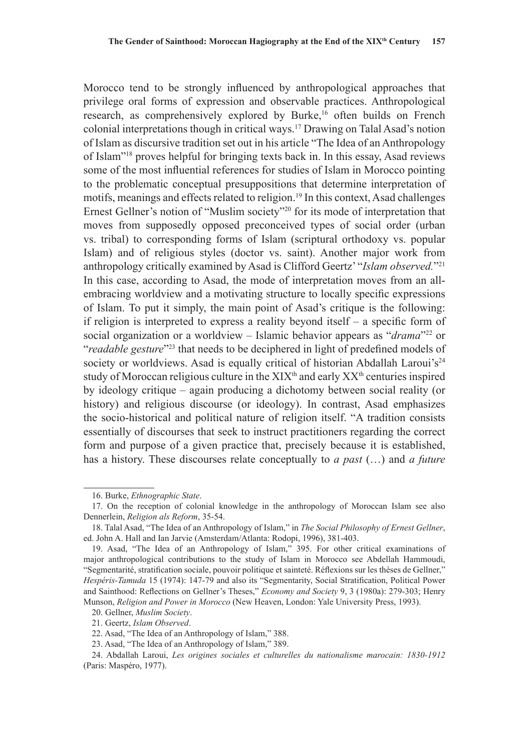Morocco tend to be strongly influenced by anthropological approaches that privilege oral forms of expression and observable practices. Anthropological research, as comprehensively explored by Burke,<sup>16</sup> often builds on French colonial interpretations though in critical ways.17 Drawing on Talal Asad's notion of Islam as discursive tradition set out in his article "The Idea of an Anthropology of Islam"18 proves helpful for bringing texts back in. In this essay, Asad reviews some of the most influential references for studies of Islam in Morocco pointing to the problematic conceptual presuppositions that determine interpretation of motifs, meanings and effects related to religion.<sup>19</sup> In this context, Asad challenges Ernest Gellner's notion of "Muslim society"20 for its mode of interpretation that moves from supposedly opposed preconceived types of social order (urban vs. tribal) to corresponding forms of Islam (scriptural orthodoxy vs. popular Islam) and of religious styles (doctor vs. saint). Another major work from anthropology critically examined by Asad is Clifford Geertz' "*Islam observed.*"21 In this case, according to Asad, the mode of interpretation moves from an allembracing worldview and a motivating structure to locally specific expressions of Islam. To put it simply, the main point of Asad's critique is the following: if religion is interpreted to express a reality beyond itself – a specific form of social organization or a worldview – Islamic behavior appears as "*drama*"22 or "*readable gesture*"23 that needs to be deciphered in light of predefined models of society or worldviews. Asad is equally critical of historian Abdallah Laroui's<sup>24</sup> study of Moroccan religious culture in the XIX<sup>th</sup> and early XX<sup>th</sup> centuries inspired by ideology critique – again producing a dichotomy between social reality (or history) and religious discourse (or ideology). In contrast, Asad emphasizes the socio-historical and political nature of religion itself. "A tradition consists essentially of discourses that seek to instruct practitioners regarding the correct form and purpose of a given practice that, precisely because it is established, has a history. These discourses relate conceptually to *a past* (…) and *a future*

<sup>16.</sup> Burke, *Ethnographic State*.

<sup>17.</sup> On the reception of colonial knowledge in the anthropology of Moroccan Islam see also Dennerlein, *Religion als Reform*, 35-54.

<sup>18.</sup> Talal Asad, "The Idea of an Anthropology of Islam," in *The Social Philosophy of Ernest Gellner*, ed. John A. Hall and Ian Jarvie (Amsterdam/Atlanta: Rodopi, 1996), 381-403.

<sup>19.</sup> Asad, "The Idea of an Anthropology of Islam," 395. For other critical examinations of major anthropological contributions to the study of Islam in Morocco see Abdellah Hammoudi, "Segmentarité, stratification sociale, pouvoir politique et sainteté. Réflexions sur les thèses de Gellner," *Hespéris-Tamuda* 15 (1974): 147-79 and also its "Segmentarity, Social Stratification, Political Power and Sainthood: Reflections on Gellner's Theses," *Economy and Society* 9, 3 (1980a): 279-303; Henry Munson, *Religion and Power in Morocco* (New Heaven, London: Yale University Press, 1993).

<sup>20.</sup> Gellner, *Muslim Society*.

<sup>21.</sup> Geertz, *Islam Observed*.

<sup>22.</sup> Asad, "The Idea of an Anthropology of Islam," 388.

<sup>23.</sup> Asad, "The Idea of an Anthropology of Islam," 389.

<sup>24.</sup> Abdallah Laroui, *Les origines sociales et culturelles du nationalisme marocain: 1830-1912* (Paris: Maspéro, 1977).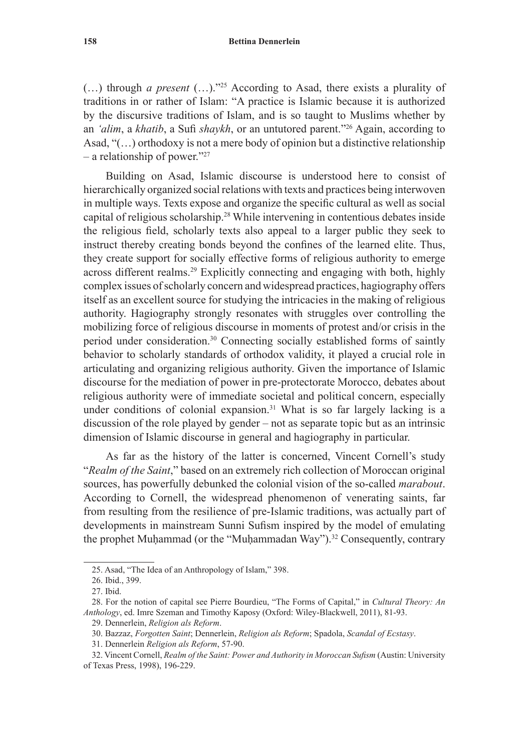#### **158 Bettina Dennerlein**

(…) through *a present* (…)."25 According to Asad, there exists a plurality of traditions in or rather of Islam: "A practice is Islamic because it is authorized by the discursive traditions of Islam, and is so taught to Muslims whether by an *'alim*, a *khatib*, a Sufi *shaykh*, or an untutored parent."26 Again, according to Asad, "(…) orthodoxy is not a mere body of opinion but a distinctive relationship – a relationship of power."27

Building on Asad, Islamic discourse is understood here to consist of hierarchically organized social relations with texts and practices being interwoven in multiple ways. Texts expose and organize the specific cultural as well as social capital of religious scholarship.28 While intervening in contentious debates inside the religious field, scholarly texts also appeal to a larger public they seek to instruct thereby creating bonds beyond the confines of the learned elite. Thus, they create support for socially effective forms of religious authority to emerge across different realms.29 Explicitly connecting and engaging with both, highly complex issues of scholarly concern and widespread practices, hagiography offers itself as an excellent source for studying the intricacies in the making of religious authority. Hagiography strongly resonates with struggles over controlling the mobilizing force of religious discourse in moments of protest and/or crisis in the period under consideration.30 Connecting socially established forms of saintly behavior to scholarly standards of orthodox validity, it played a crucial role in articulating and organizing religious authority. Given the importance of Islamic discourse for the mediation of power in pre-protectorate Morocco, debates about religious authority were of immediate societal and political concern, especially under conditions of colonial expansion.<sup>31</sup> What is so far largely lacking is a discussion of the role played by gender – not as separate topic but as an intrinsic dimension of Islamic discourse in general and hagiography in particular.

As far as the history of the latter is concerned, Vincent Cornell's study "*Realm of the Saint*," based on an extremely rich collection of Moroccan original sources, has powerfully debunked the colonial vision of the so-called *marabout*. According to Cornell, the widespread phenomenon of venerating saints, far from resulting from the resilience of pre-Islamic traditions, was actually part of developments in mainstream Sunni Sufism inspired by the model of emulating the prophet Muḥammad (or the "Muḥammadan Way").<sup>32</sup> Consequently, contrary

<sup>25.</sup> Asad, "The Idea of an Anthropology of Islam," 398.

<sup>26.</sup> Ibid., 399.

<sup>27.</sup> Ibid.

<sup>28.</sup> For the notion of capital see Pierre Bourdieu, "The Forms of Capital," in *Cultural Theory: An Anthology*, ed. Imre Szeman and Timothy Kaposy (Oxford: Wiley-Blackwell, 2011), 81-93.

<sup>29.</sup> Dennerlein, *Religion als Reform*.

<sup>30.</sup> Bazzaz, *Forgotten Saint*; Dennerlein, *Religion als Reform*; Spadola, *Scandal of Ecstasy*.

<sup>31.</sup> Dennerlein *Religion als Reform*, 57-90.

<sup>32.</sup> Vincent Cornell, *Realm of the Saint: Power and Authority in Moroccan Sufism* (Austin: University of Texas Press, 1998), 196-229.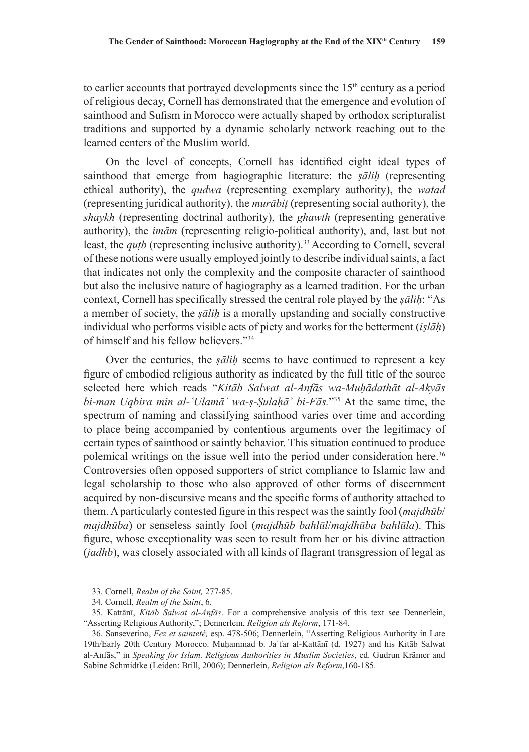to earlier accounts that portrayed developments since the  $15<sup>th</sup>$  century as a period of religious decay, Cornell has demonstrated that the emergence and evolution of sainthood and Sufism in Morocco were actually shaped by orthodox scripturalist traditions and supported by a dynamic scholarly network reaching out to the learned centers of the Muslim world.

On the level of concepts, Cornell has identified eight ideal types of sainthood that emerge from hagiographic literature: the *ṣāliḥ* (representing ethical authority), the *qudwa* (representing exemplary authority), the *watad* (representing juridical authority), the *murābiṭ* (representing social authority), the *shaykh* (representing doctrinal authority), the *ghawth* (representing generative authority), the *imām* (representing religio-political authority), and, last but not least, the *qutb* (representing inclusive authority).<sup>33</sup> According to Cornell, several of these notions were usually employed jointly to describe individual saints, a fact that indicates not only the complexity and the composite character of sainthood but also the inclusive nature of hagiography as a learned tradition. For the urban context, Cornell has specifically stressed the central role played by the *ṣāliḥ*: "As a member of society, the *ṣāliḥ* is a morally upstanding and socially constructive individual who performs visible acts of piety and works for the betterment (*iṣlāḥ*) of himself and his fellow believers."34

Over the centuries, the *ṣāliḥ* seems to have continued to represent a key figure of embodied religious authority as indicated by the full title of the source selected here which reads "*Kitāb Salwat al-Anfās wa-Muḥādathāt al-Akyās bi-man Uqbira min al-ʿUlamāʾ wa-ṣ-Ṣulaḥāʾ bi-Fās.*"35 At the same time, the spectrum of naming and classifying sainthood varies over time and according to place being accompanied by contentious arguments over the legitimacy of certain types of sainthood or saintly behavior. This situation continued to produce polemical writings on the issue well into the period under consideration here.<sup>36</sup> Controversies often opposed supporters of strict compliance to Islamic law and legal scholarship to those who also approved of other forms of discernment acquired by non-discursive means and the specific forms of authority attached to them. A particularly contested figure in this respect was the saintly fool (*majdhūb*/ *majdhūba*) or senseless saintly fool (*majdhūb bahlūl*/*majdhūba bahlūla*). This figure, whose exceptionality was seen to result from her or his divine attraction (*jadhb*), was closely associated with all kinds of flagrant transgression of legal as

<sup>33.</sup> Cornell, *Realm of the Saint,* 277-85.

<sup>34.</sup> Cornell, *Realm of the Saint*, 6.

<sup>35.</sup> Kattānī, *Kitāb Salwat al-Anfās*. For a comprehensive analysis of this text see Dennerlein, "Asserting Religious Authority,"; Dennerlein, *Religion als Reform*, 171-84.

<sup>36.</sup> Sanseverino, *Fez et sainteté,* esp. 478-506; Dennerlein, "Asserting Religious Authority in Late 19th/Early 20th Century Morocco. Muḥammad b. Jaʿfar al-Kattānī (d. 1927) and his Kitāb Salwat al-Anfās," in *Speaking for Islam. Religious Authorities in Muslim Societies*, ed. Gudrun Krämer and Sabine Schmidtke (Leiden: Brill, 2006); Dennerlein, *Religion als Reform*,160-185.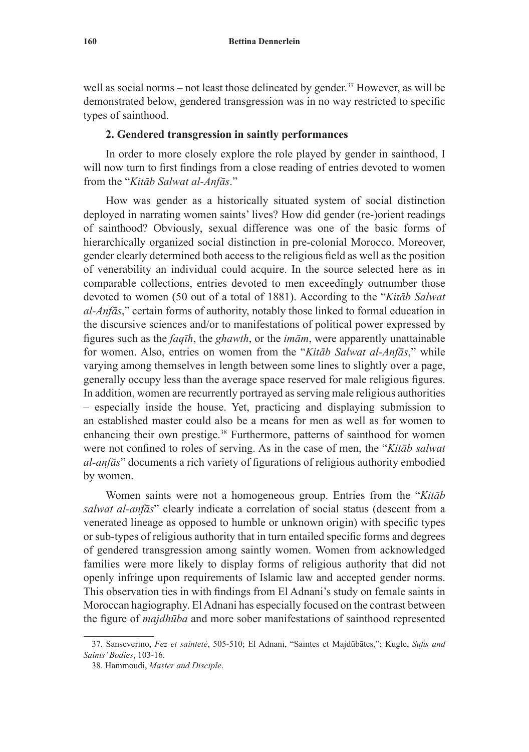well as social norms – not least those delineated by gender.<sup>37</sup> However, as will be demonstrated below, gendered transgression was in no way restricted to specific types of sainthood.

### **2. Gendered transgression in saintly performances**

In order to more closely explore the role played by gender in sainthood, I will now turn to first findings from a close reading of entries devoted to women from the "*Kitāb Salwat al-Anfās*."

How was gender as a historically situated system of social distinction deployed in narrating women saints' lives? How did gender (re-)orient readings of sainthood? Obviously, sexual difference was one of the basic forms of hierarchically organized social distinction in pre-colonial Morocco. Moreover, gender clearly determined both access to the religious field as well as the position of venerability an individual could acquire. In the source selected here as in comparable collections, entries devoted to men exceedingly outnumber those devoted to women (50 out of a total of 1881). According to the "*Kitāb Salwat al-Anfās*," certain forms of authority, notably those linked to formal education in the discursive sciences and/or to manifestations of political power expressed by figures such as the *faqīh*, the *ghawth*, or the *imām*, were apparently unattainable for women. Also, entries on women from the "*Kitāb Salwat al-Anfās*," while varying among themselves in length between some lines to slightly over a page, generally occupy less than the average space reserved for male religious figures. In addition, women are recurrently portrayed as serving male religious authorities – especially inside the house. Yet, practicing and displaying submission to an established master could also be a means for men as well as for women to enhancing their own prestige.<sup>38</sup> Furthermore, patterns of sainthood for women were not confined to roles of serving. As in the case of men, the "*Kitāb salwat al-anfās*" documents a rich variety of figurations of religious authority embodied by women.

Women saints were not a homogeneous group. Entries from the "*Kitāb salwat al-anfās*" clearly indicate a correlation of social status (descent from a venerated lineage as opposed to humble or unknown origin) with specific types or sub-types of religious authority that in turn entailed specific forms and degrees of gendered transgression among saintly women. Women from acknowledged families were more likely to display forms of religious authority that did not openly infringe upon requirements of Islamic law and accepted gender norms. This observation ties in with findings from El Adnani's study on female saints in Moroccan hagiography. El Adnani has especially focused on the contrast between the figure of *majdhūba* and more sober manifestations of sainthood represented

<sup>37.</sup> Sanseverino, *Fez et sainteté*, 505-510; El Adnani, "Saintes et Majdūbātes,"; Kugle, *Sufis and Saints' Bodies*, 103-16.

<sup>38.</sup> Hammoudi, *Master and Disciple*.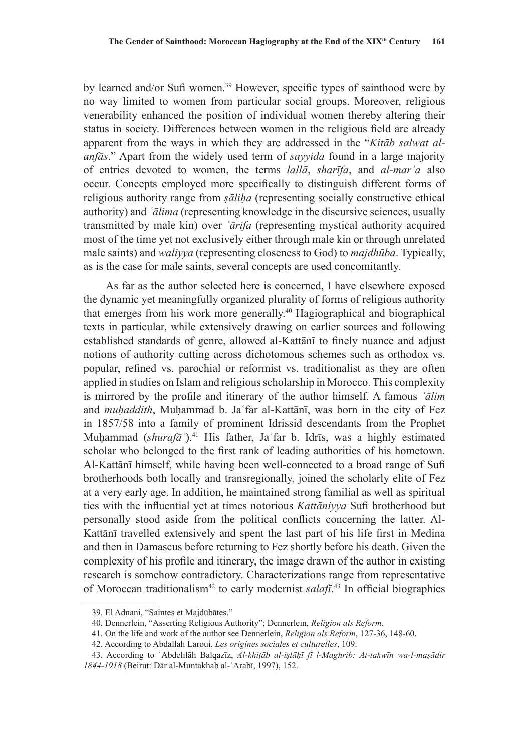by learned and/or Sufi women.<sup>39</sup> However, specific types of sainthood were by no way limited to women from particular social groups. Moreover, religious venerability enhanced the position of individual women thereby altering their status in society. Differences between women in the religious field are already apparent from the ways in which they are addressed in the "*Kitāb salwat alanfās*." Apart from the widely used term of *sayyida* found in a large majority of entries devoted to women, the terms *lallā*, *sharīfa*, and *al-marʾa* also occur. Concepts employed more specifically to distinguish different forms of religious authority range from *ṣāliḥa* (representing socially constructive ethical authority) and *ʿālima* (representing knowledge in the discursive sciences, usually transmitted by male kin) over *ʿārifa* (representing mystical authority acquired most of the time yet not exclusively either through male kin or through unrelated male saints) and *waliyya* (representing closeness to God) to *majdhūba*. Typically, as is the case for male saints, several concepts are used concomitantly.

As far as the author selected here is concerned, I have elsewhere exposed the dynamic yet meaningfully organized plurality of forms of religious authority that emerges from his work more generally.40 Hagiographical and biographical texts in particular, while extensively drawing on earlier sources and following established standards of genre, allowed al-Kattānī to finely nuance and adjust notions of authority cutting across dichotomous schemes such as orthodox vs. popular, refined vs. parochial or reformist vs. traditionalist as they are often applied in studies on Islam and religious scholarship in Morocco. This complexity is mirrored by the profile and itinerary of the author himself. A famous *ʿālim* and *muḥaddith*, Muḥammad b. Jaʿfar al-Kattānī, was born in the city of Fez in 1857/58 into a family of prominent Idrissid descendants from the Prophet Muḥammad (*shurafāʾ*).41 His father, Jaʿfar b. Idrīs, was a highly estimated scholar who belonged to the first rank of leading authorities of his hometown. Al-Kattānī himself, while having been well-connected to a broad range of Sufi brotherhoods both locally and transregionally, joined the scholarly elite of Fez at a very early age. In addition, he maintained strong familial as well as spiritual ties with the influential yet at times notorious *Kattāniyya* Sufi brotherhood but personally stood aside from the political conflicts concerning the latter. Al-Kattānī travelled extensively and spent the last part of his life first in Medina and then in Damascus before returning to Fez shortly before his death. Given the complexity of his profile and itinerary, the image drawn of the author in existing research is somehow contradictory. Characterizations range from representative of Moroccan traditionalism<sup>42</sup> to early modernist *salaft*.<sup>43</sup> In official biographies

<sup>39.</sup> El Adnani, "Saintes et Majdūbātes."

<sup>40.</sup> Dennerlein, "Asserting Religious Authority"; Dennerlein, *Religion als Reform*.

<sup>41.</sup> On the life and work of the author see Dennerlein, *Religion als Reform*, 127-36, 148-60.

<sup>42.</sup> According to Abdallah Laroui, *Les origines sociales et culturelles*, 109.

<sup>43.</sup> According to ʿAbdelilāh Balqazīz, *Al-khiṭāb al-iṣlāḥī fī l-Maghrib: At-takwīn wa-l-maṣādir 1844-1918* (Beirut: Dār al-Muntakhab al-ʿArabī, 1997), 152.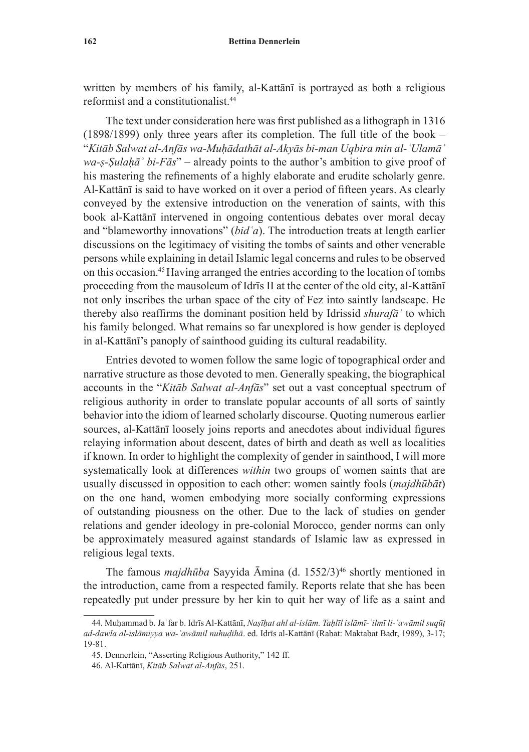written by members of his family, al-Kattānī is portrayed as both a religious reformist and a constitutionalist.<sup>44</sup>

The text under consideration here was first published as a lithograph in 1316 (1898/1899) only three years after its completion. The full title of the book – "*Kitāb Salwat al-Anfās wa-Muḥādathāt al-Akyās bi-man Uqbira min al-ʿUlamāʾ wa-ṣ-Ṣulaḥāʾ bi-Fās*" – already points to the author's ambition to give proof of his mastering the refinements of a highly elaborate and erudite scholarly genre. Al-Kattānī is said to have worked on it over a period of fifteen years. As clearly conveyed by the extensive introduction on the veneration of saints, with this book al-Kattānī intervened in ongoing contentious debates over moral decay and "blameworthy innovations" (*bidʿa*). The introduction treats at length earlier discussions on the legitimacy of visiting the tombs of saints and other venerable persons while explaining in detail Islamic legal concerns and rules to be observed on this occasion.45Having arranged the entries according to the location of tombs proceeding from the mausoleum of Idrīs II at the center of the old city, al-Kattānī not only inscribes the urban space of the city of Fez into saintly landscape. He thereby also reaffirms the dominant position held by Idrissid *shurafāʾ* to which his family belonged. What remains so far unexplored is how gender is deployed in al-Kattānī's panoply of sainthood guiding its cultural readability.

Entries devoted to women follow the same logic of topographical order and narrative structure as those devoted to men. Generally speaking, the biographical accounts in the "*Kitāb Salwat al-Anfās*" set out a vast conceptual spectrum of religious authority in order to translate popular accounts of all sorts of saintly behavior into the idiom of learned scholarly discourse. Quoting numerous earlier sources, al-Kattānī loosely joins reports and anecdotes about individual figures relaying information about descent, dates of birth and death as well as localities if known. In order to highlight the complexity of gender in sainthood, I will more systematically look at differences *within* two groups of women saints that are usually discussed in opposition to each other: women saintly fools (*majdhūbāt*) on the one hand, women embodying more socially conforming expressions of outstanding piousness on the other. Due to the lack of studies on gender relations and gender ideology in pre-colonial Morocco, gender norms can only be approximately measured against standards of Islamic law as expressed in religious legal texts.

The famous *majdhūba* Sayyida Āmina (d. 1552/3)<sup>46</sup> shortly mentioned in the introduction, came from a respected family. Reports relate that she has been repeatedly put under pressure by her kin to quit her way of life as a saint and

<sup>44</sup>. Muḥammad b. Jaʿfar b. Idrīs Al-Kattānī, *Naṣīḥat ahl al-islām. Taḥlīl islāmī-ʿilmī li-ʿawāmil suqūṭ ad-dawla al-islāmiyya wa-ʿawāmil nuhuḍihā*. ed. Idrīs al-Kattānī (Rabat: Maktabat Badr, 1989), 3-17; 19-81.

<sup>45.</sup> Dennerlein, "Asserting Religious Authority," 142 ff.

<sup>46.</sup> Al-Kattānī, *Kitāb Salwat al-Anfās*, 251.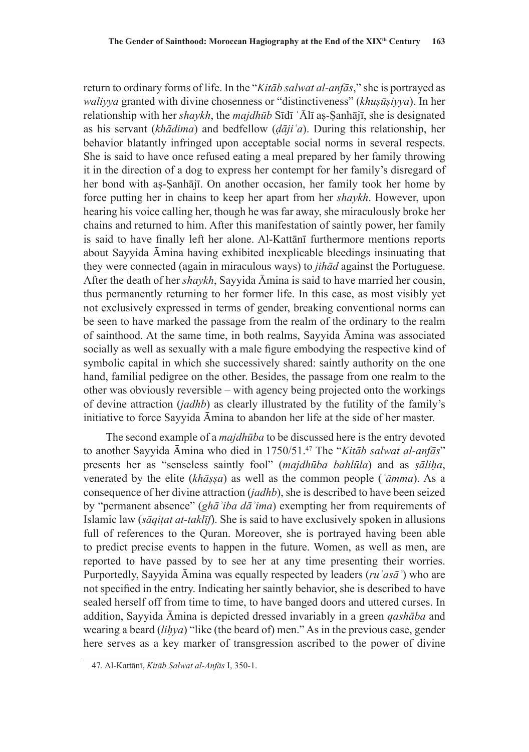return to ordinary forms of life. In the "*Kitāb salwat al-anfās*," she is portrayed as *waliyya* granted with divine chosenness or "distinctiveness" (*khuṣūṣiyya*). In her relationship with her *shaykh*, the *majdhūb* Sīdī ʿĀlī aṣ-Ṣanhājī, she is designated as his servant (*khādima*) and bedfellow (*ḍājiʿa*). During this relationship, her behavior blatantly infringed upon acceptable social norms in several respects. She is said to have once refused eating a meal prepared by her family throwing it in the direction of a dog to express her contempt for her family's disregard of her bond with aṣ-Ṣanhājī. On another occasion, her family took her home by force putting her in chains to keep her apart from her *shaykh*. However, upon hearing his voice calling her, though he was far away, she miraculously broke her chains and returned to him. After this manifestation of saintly power, her family is said to have finally left her alone. Al-Kattānī furthermore mentions reports about Sayyida Āmina having exhibited inexplicable bleedings insinuating that they were connected (again in miraculous ways) to *jihād* against the Portuguese. After the death of her *shaykh*, Sayyida Āmina is said to have married her cousin, thus permanently returning to her former life. In this case, as most visibly yet not exclusively expressed in terms of gender, breaking conventional norms can be seen to have marked the passage from the realm of the ordinary to the realm of sainthood. At the same time, in both realms, Sayyida Āmina was associated socially as well as sexually with a male figure embodying the respective kind of symbolic capital in which she successively shared: saintly authority on the one hand, familial pedigree on the other. Besides, the passage from one realm to the other was obviously reversible – with agency being projected onto the workings of devine attraction (*jadhb*) as clearly illustrated by the futility of the family's initiative to force Sayyida Āmina to abandon her life at the side of her master.

The second example of a *majdhūba* to be discussed here is the entry devoted to another Sayyida Āmina who died in 1750/51.47 The "*Kitāb salwat al-anfās*" presents her as "senseless saintly fool" (*majdhūba bahlūla*) and as *ṣāliḥa*, venerated by the elite (*khāṣṣa*) as well as the common people (*ʿāmma*). As a consequence of her divine attraction (*jadhb*), she is described to have been seized by "permanent absence" (*ghāʾiba dāʾima*) exempting her from requirements of Islamic law (*sāqiṭat at-taklīf*). She is said to have exclusively spoken in allusions full of references to the Quran. Moreover, she is portrayed having been able to predict precise events to happen in the future. Women, as well as men, are reported to have passed by to see her at any time presenting their worries. Purportedly, Sayyida Āmina was equally respected by leaders (*ruʾasāʾ*) who are not specified in the entry. Indicating her saintly behavior, she is described to have sealed herself off from time to time, to have banged doors and uttered curses. In addition, Sayyida Āmina is depicted dressed invariably in a green *qashāba* and wearing a beard (*liḥya*) "like (the beard of) men." As in the previous case, gender here serves as a key marker of transgression ascribed to the power of divine

<sup>47.</sup> Al-Kattānī, *Kitāb Salwat al-Anfās* I, 350-1.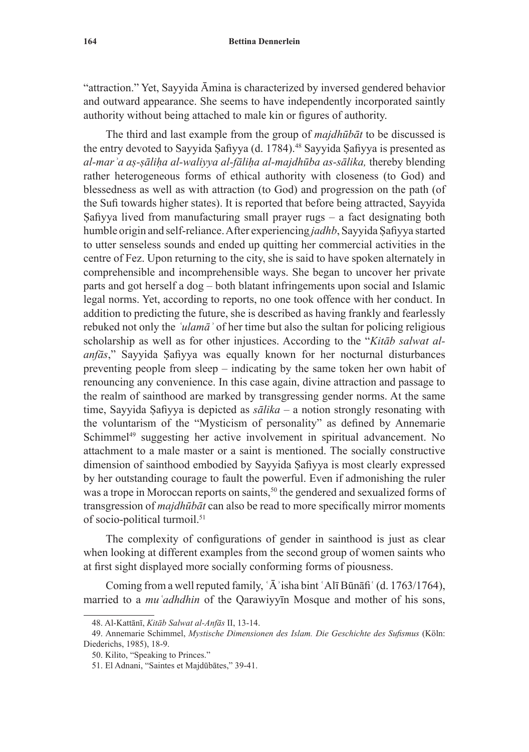"attraction." Yet, Sayyida Āmina is characterized by inversed gendered behavior and outward appearance. She seems to have independently incorporated saintly authority without being attached to male kin or figures of authority.

The third and last example from the group of *majdhūbāt* to be discussed is the entry devoted to Sayyida Şafiyya (d. 1784).<sup>48</sup> Sayyida Şafiyya is presented as *al-marʾa aṣ-ṣāliḥa al-waliyya al-fāliḥa al-majdhūba as-sālika,* thereby blending rather heterogeneous forms of ethical authority with closeness (to God) and blessedness as well as with attraction (to God) and progression on the path (of the Sufi towards higher states). It is reported that before being attracted, Sayyida Safiyya lived from manufacturing small prayer rugs  $-$  a fact designating both humble origin and self-reliance. After experiencing *jadhb*, Sayyida Safiyya started to utter senseless sounds and ended up quitting her commercial activities in the centre of Fez. Upon returning to the city, she is said to have spoken alternately in comprehensible and incomprehensible ways. She began to uncover her private parts and got herself a dog – both blatant infringements upon social and Islamic legal norms. Yet, according to reports, no one took offence with her conduct. In addition to predicting the future, she is described as having frankly and fearlessly rebuked not only the *ʿulamāʾ* of her time but also the sultan for policing religious scholarship as well as for other injustices. According to the "*Kitāb salwat alanfās*," Sayyida Ṣafiyya was equally known for her nocturnal disturbances preventing people from sleep – indicating by the same token her own habit of renouncing any convenience. In this case again, divine attraction and passage to the realm of sainthood are marked by transgressing gender norms. At the same time, Sayyida Ṣafiyya is depicted as *sālika* – a notion strongly resonating with the voluntarism of the "Mysticism of personality" as defined by Annemarie Schimmel<sup>49</sup> suggesting her active involvement in spiritual advancement. No attachment to a male master or a saint is mentioned. The socially constructive dimension of sainthood embodied by Sayyida Ṣafiyya is most clearly expressed by her outstanding courage to fault the powerful. Even if admonishing the ruler was a trope in Moroccan reports on saints,<sup>50</sup> the gendered and sexualized forms of transgression of *majdhūbāt* can also be read to more specifically mirror moments of socio-political turmoil.<sup>51</sup>

The complexity of configurations of gender in sainthood is just as clear when looking at different examples from the second group of women saints who at first sight displayed more socially conforming forms of piousness.

Coming from a well reputed family, ʿĀʾisha bint ʿAlī Būnāfiʿ (d. 1763/1764), married to a *muʿadhdhin* of the Qarawiyyīn Mosque and mother of his sons,

<sup>48.</sup> Al-Kattānī, *Kitāb Salwat al-Anfās* II, 13-14.

<sup>49.</sup> Annemarie Schimmel, *Mystische Dimensionen des Islam. Die Geschichte des Sufismus* (Köln: Diederichs, 1985), 18-9.

<sup>50.</sup> Kilito, "Speaking to Princes."

<sup>51.</sup> El Adnani, "Saintes et Majdūbātes," 39-41.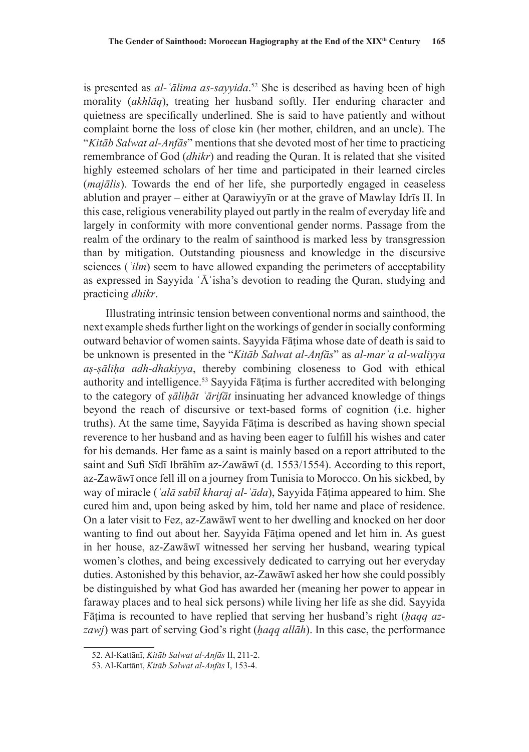is presented as *al-ʿālima as-sayyida*. <sup>52</sup> She is described as having been of high morality (*akhlāq*), treating her husband softly. Her enduring character and quietness are specifically underlined. She is said to have patiently and without complaint borne the loss of close kin (her mother, children, and an uncle). The "*Kitāb Salwat al-Anfās*" mentions that she devoted most of her time to practicing remembrance of God (*dhikr*) and reading the Quran. It is related that she visited highly esteemed scholars of her time and participated in their learned circles (*majālis*). Towards the end of her life, she purportedly engaged in ceaseless ablution and prayer – either at Qarawiyyīn or at the grave of Mawlay Idrīs II. In this case, religious venerability played out partly in the realm of everyday life and largely in conformity with more conventional gender norms. Passage from the realm of the ordinary to the realm of sainthood is marked less by transgression than by mitigation. Outstanding piousness and knowledge in the discursive sciences (*'ilm*) seem to have allowed expanding the perimeters of acceptability as expressed in Sayyida ʿĀʾisha's devotion to reading the Quran, studying and practicing *dhikr*.

Illustrating intrinsic tension between conventional norms and sainthood, the next example sheds further light on the workings of gender in socially conforming outward behavior of women saints. Sayyida Fāṭima whose date of death is said to be unknown is presented in the "*Kitāb Salwat al-Anfās*" as *al-marʾa al-waliyya aṣ-ṣāliḥa adh-dhakiyya*, thereby combining closeness to God with ethical authority and intelligence.53 Sayyida Fāṭima is further accredited with belonging to the category of *ṣāliḥāt ʿārifāt* insinuating her advanced knowledge of things beyond the reach of discursive or text-based forms of cognition (i.e. higher truths). At the same time, Sayyida Fāṭima is described as having shown special reverence to her husband and as having been eager to fulfill his wishes and cater for his demands. Her fame as a saint is mainly based on a report attributed to the saint and Sufi Sīdī Ibrāhīm az-Zawāwī (d. 1553/1554). According to this report, az-Zawāwī once fell ill on a journey from Tunisia to Morocco. On his sickbed, by way of miracle (*ʿalā sabīl kharaj al-ʿāda*), Sayyida Fāṭima appeared to him. She cured him and, upon being asked by him, told her name and place of residence. On a later visit to Fez, az-Zawāwī went to her dwelling and knocked on her door wanting to find out about her. Sayyida Fāṭima opened and let him in. As guest in her house, az-Zawāwī witnessed her serving her husband, wearing typical women's clothes, and being excessively dedicated to carrying out her everyday duties. Astonished by this behavior, az-Zawāwī asked her how she could possibly be distinguished by what God has awarded her (meaning her power to appear in faraway places and to heal sick persons) while living her life as she did. Sayyida Fāṭima is recounted to have replied that serving her husband's right (*ḥaqq azzawj*) was part of serving God's right (*ḥaqq allāh*). In this case, the performance

<sup>52.</sup> Al-Kattānī, *Kitāb Salwat al-Anfās* II, 211-2.

<sup>53.</sup> Al-Kattānī, *Kitāb Salwat al-Anfās* I, 153-4.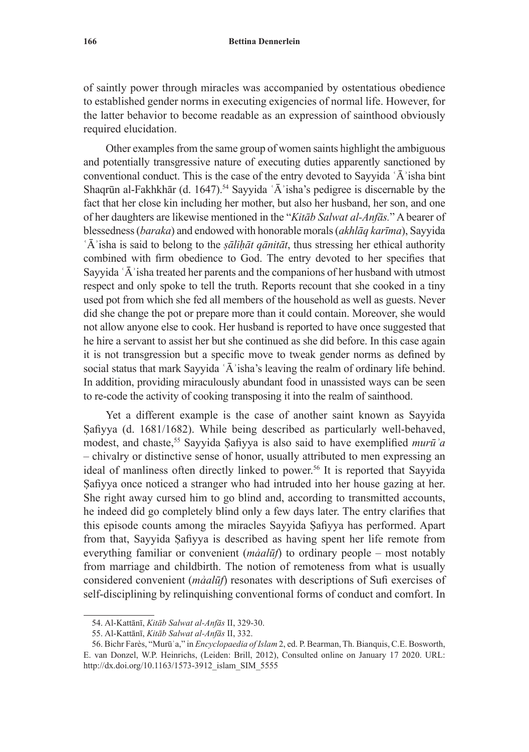of saintly power through miracles was accompanied by ostentatious obedience to established gender norms in executing exigencies of normal life. However, for the latter behavior to become readable as an expression of sainthood obviously required elucidation.

Other examples from the same group of women saints highlight the ambiguous and potentially transgressive nature of executing duties apparently sanctioned by conventional conduct. This is the case of the entry devoted to Sayyida  $\tilde{A}$  isha bint Shaqrūn al-Fakhkhār (d. 1647).<sup>54</sup> Sayyida 'Ā' isha's pedigree is discernable by the fact that her close kin including her mother, but also her husband, her son, and one of her daughters are likewise mentioned in the "*Kitāb Salwat al-Anfās.*" A bearer of blessedness (*baraka*) and endowed with honorable morals (*akhlāq karīma*), Sayyida ʿĀʾisha is said to belong to the *ṣāliḥāt qānitāt*, thus stressing her ethical authority combined with firm obedience to God. The entry devoted to her specifies that Sayyida ʿĀʾisha treated her parents and the companions of her husband with utmost respect and only spoke to tell the truth. Reports recount that she cooked in a tiny used pot from which she fed all members of the household as well as guests. Never did she change the pot or prepare more than it could contain. Moreover, she would not allow anyone else to cook. Her husband is reported to have once suggested that he hire a servant to assist her but she continued as she did before. In this case again it is not transgression but a specific move to tweak gender norms as defined by social status that mark Sayyida ʿĀʾisha's leaving the realm of ordinary life behind. In addition, providing miraculously abundant food in unassisted ways can be seen to re-code the activity of cooking transposing it into the realm of sainthood.

Yet a different example is the case of another saint known as Sayyida Ṣafiyya (d. 1681/1682). While being described as particularly well-behaved, modest, and chaste,<sup>55</sup> Sayyida Safiyya is also said to have exemplified *murū*<sup>'</sup>a – chivalry or distinctive sense of honor, usually attributed to men expressing an ideal of manliness often directly linked to power.<sup>56</sup> It is reported that Sayyida Ṣafiyya once noticed a stranger who had intruded into her house gazing at her. She right away cursed him to go blind and, according to transmitted accounts, he indeed did go completely blind only a few days later. The entry clarifies that this episode counts among the miracles Sayyida Ṣafiyya has performed. Apart from that, Sayyida Ṣafiyya is described as having spent her life remote from everything familiar or convenient (*màalūf*) to ordinary people – most notably from marriage and childbirth. The notion of remoteness from what is usually considered convenient (*màalūf*) resonates with descriptions of Sufi exercises of self-disciplining by relinquishing conventional forms of conduct and comfort. In

<sup>54.</sup> Al-Kattānī, *Kitāb Salwat al-Anfās* II, 329-30.

<sup>55.</sup> Al-Kattānī, *Kitāb Salwat al-Anfās* II, 332.

<sup>56.</sup> Bichr Farès, "Murūʾa," in *Encyclopaedia of Islam* 2, ed. P. Bearman, Th. Bianquis, C.E. Bosworth, E. van Donzel, W.P. Heinrichs, (Leiden: Brill, 2012), Consulted online on January 17 2020. URL: http://dx.doi.org/10.1163/1573-3912\_islam\_SIM\_5555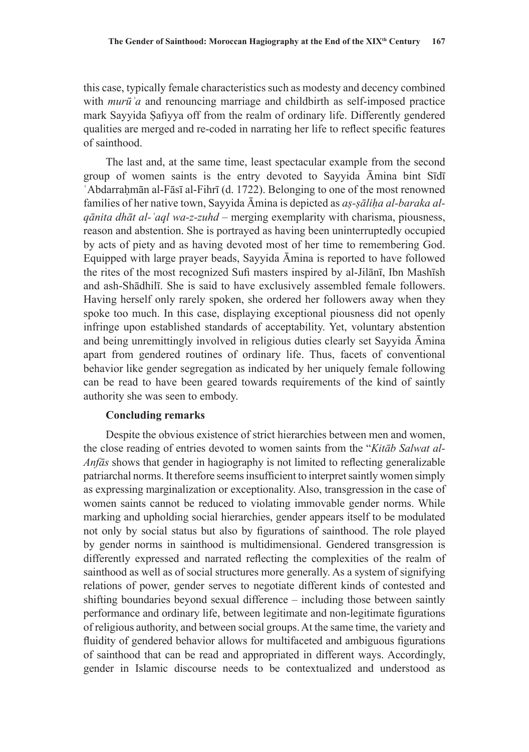this case, typically female characteristics such as modesty and decency combined with *murū*<sup>'a</sup> and renouncing marriage and childbirth as self-imposed practice mark Sayyida Ṣafiyya off from the realm of ordinary life. Differently gendered qualities are merged and re-coded in narrating her life to reflect specific features of sainthood.

The last and, at the same time, least spectacular example from the second group of women saints is the entry devoted to Sayyida Āmina bint Sīdī ʿAbdarraḥmān al-Fāsī al-Fihrī (d. 1722). Belonging to one of the most renowned families of her native town, Sayyida Āmina is depicted as *aṣ-ṣāliḥa al-baraka alqānita dhāt al-ʿaql wa-z-zuhd* – merging exemplarity with charisma, piousness, reason and abstention. She is portrayed as having been uninterruptedly occupied by acts of piety and as having devoted most of her time to remembering God. Equipped with large prayer beads, Sayyida Āmina is reported to have followed the rites of the most recognized Sufi masters inspired by al-Jilānī, Ibn Mashīsh and ash-Shādhilī. She is said to have exclusively assembled female followers. Having herself only rarely spoken, she ordered her followers away when they spoke too much. In this case, displaying exceptional piousness did not openly infringe upon established standards of acceptability. Yet, voluntary abstention and being unremittingly involved in religious duties clearly set Sayyida Āmina apart from gendered routines of ordinary life. Thus, facets of conventional behavior like gender segregation as indicated by her uniquely female following can be read to have been geared towards requirements of the kind of saintly authority she was seen to embody.

### **Concluding remarks**

Despite the obvious existence of strict hierarchies between men and women, the close reading of entries devoted to women saints from the "*Kitāb Salwat al-Anfās* shows that gender in hagiography is not limited to reflecting generalizable patriarchal norms. It therefore seems insufficient to interpret saintly women simply as expressing marginalization or exceptionality. Also, transgression in the case of women saints cannot be reduced to violating immovable gender norms. While marking and upholding social hierarchies, gender appears itself to be modulated not only by social status but also by figurations of sainthood. The role played by gender norms in sainthood is multidimensional. Gendered transgression is differently expressed and narrated reflecting the complexities of the realm of sainthood as well as of social structures more generally. As a system of signifying relations of power, gender serves to negotiate different kinds of contested and shifting boundaries beyond sexual difference – including those between saintly performance and ordinary life, between legitimate and non-legitimate figurations of religious authority, and between social groups. At the same time, the variety and fluidity of gendered behavior allows for multifaceted and ambiguous figurations of sainthood that can be read and appropriated in different ways. Accordingly, gender in Islamic discourse needs to be contextualized and understood as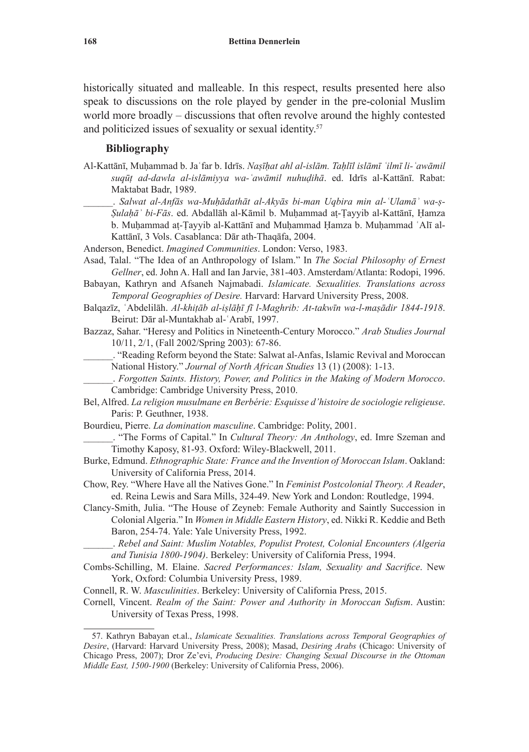historically situated and malleable. In this respect, results presented here also speak to discussions on the role played by gender in the pre-colonial Muslim world more broadly – discussions that often revolve around the highly contested and politicized issues of sexuality or sexual identity.<sup>57</sup>

## **Bibliography**

- Al-Kattānī, Muḥammad b. Jaʿfar b. Idrīs. *Naṣīḥat ahl al-islām. Taḥlīl islāmī ʿilmī li-ʿawāmil suqūṭ ad-dawla al-islāmiyya wa-ʿawāmil nuhuḍihā*. ed. Idrīs al-Kattānī. Rabat: Maktabat Badr, 1989.
	- \_\_\_\_\_\_. *Salwat al-Anfās wa-Muḥādathāt al-Akyās bi-man Uqbira min al-ʿUlamāʾ wa-ṣ-Ṣulaḥāʾ bi-Fās*. ed. Abdallāh al-Kāmil b. Muḥammad aṭ-Ṭayyib al-Kattānī, Ḥamza b. Muhammad at-Tayyib al-Kattānī and Muhammad Hamza b. Muhammad 'Alī al-Kattānī, 3 Vols. Casablanca: Dār ath-Thaqāfa, 2004.
- Anderson, Benedict. *Imagined Communities*. London: Verso, 1983.
- Asad, Talal. "The Idea of an Anthropology of Islam." In *The Social Philosophy of Ernest Gellner*, ed. John A. Hall and Ian Jarvie, 381-403. Amsterdam/Atlanta: Rodopi, 1996.
- Babayan, Kathryn and Afsaneh Najmabadi. *Islamicate. Sexualities. Translations across Temporal Geographies of Desire.* Harvard: Harvard University Press, 2008.
- Balqazīz, ʿAbdelilāh. *Al-khiṭāb al-iṣlāḥī fī l-Maghrib: At-takwīn wa-l-maṣādir 1844-1918*. Beirut: Dār al-Muntakhab al-ʿArabī, 1997.
- Bazzaz, Sahar. "Heresy and Politics in Nineteenth-Century Morocco." *Arab Studies Journal* 10/11, 2/1, (Fall 2002/Spring 2003): 67-86.
	- \_\_\_\_\_\_. "Reading Reform beyond the State: Salwat al-Anfas, Islamic Revival and Moroccan National History." *Journal of North African Studies* 13 (1) (2008): 1-13.
	- \_\_\_\_\_\_. *Forgotten Saints. History, Power, and Politics in the Making of Modern Morocco*. Cambridge: Cambridge University Press, 2010.
- Bel, Alfred. *La religion musulmane en Berbérie: Esquisse d'histoire de sociologie religieuse*. Paris: P. Geuthner, 1938.
- Bourdieu, Pierre. *La domination masculine*. Cambridge: Polity, 2001.
- \_\_\_\_\_\_. "The Forms of Capital." In *Cultural Theory: An Anthology*, ed. Imre Szeman and Timothy Kaposy, 81-93. Oxford: Wiley-Blackwell, 2011.
- Burke, Edmund. *Ethnographic State: France and the Invention of Moroccan Islam*. Oakland: University of California Press, 2014.
- Chow, Rey. "Where Have all the Natives Gone." In *Feminist Postcolonial Theory. A Reader*, ed. Reina Lewis and Sara Mills, 324-49. New York and London: Routledge, 1994.
- Clancy-Smith, Julia. "The House of Zeyneb: Female Authority and Saintly Succession in Colonial Algeria." In *Women in Middle Eastern History*, ed. Nikki R. Keddie and Beth Baron, 254-74. Yale: Yale University Press, 1992.
	- \_\_\_\_\_\_. *Rebel and Saint: Muslim Notables, Populist Protest, Colonial Encounters (Algeria and Tunisia 1800-1904)*. Berkeley: University of California Press, 1994.
- Combs-Schilling, M. Elaine. *Sacred Performances: Islam, Sexuality and Sacrifice*. New York, Oxford: Columbia University Press, 1989.

Connell, R. W. *Masculinities*. Berkeley: University of California Press, 2015.

Cornell, Vincent. *Realm of the Saint: Power and Authority in Moroccan Sufism*. Austin: University of Texas Press, 1998.

<sup>57.</sup> Kathryn Babayan et.al., *Islamicate Sexualities. Translations across Temporal Geographies of Desire*, (Harvard: Harvard University Press, 2008); Masad, *Desiring Arabs* (Chicago: University of Chicago Press, 2007); Dror Ze'evi, *Producing Desire: Changing Sexual Discourse in the Ottoman Middle East, 1500-1900* (Berkeley: University of California Press, 2006).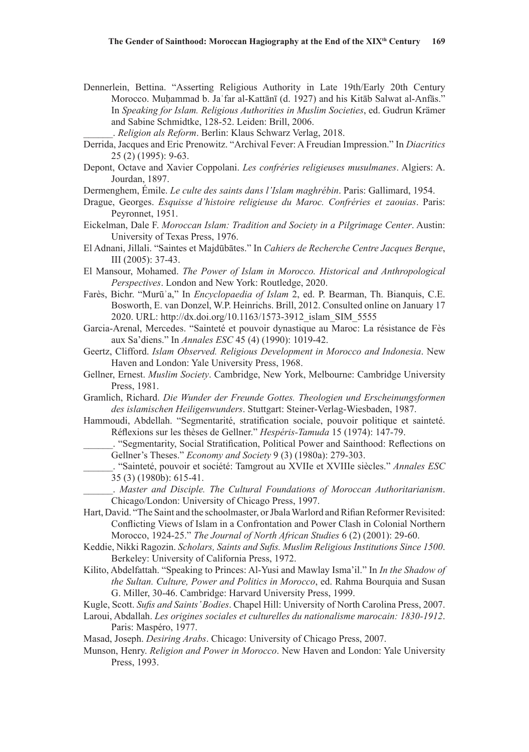Dennerlein, Bettina. "Asserting Religious Authority in Late 19th/Early 20th Century Morocco. Muḥammad b. Jaʿfar al-Kattānī (d. 1927) and his Kitāb Salwat al-Anfās." In *Speaking for Islam. Religious Authorities in Muslim Societies*, ed. Gudrun Krämer and Sabine Schmidtke, 128-52. Leiden: Brill, 2006.

\_\_\_\_\_\_. *Religion als Reform*. Berlin: Klaus Schwarz Verlag, 2018.

- Derrida, Jacques and Eric Prenowitz. "Archival Fever: A Freudian Impression." In *Diacritics* 25 (2) (1995): 9-63.
- Depont, Octave and Xavier Coppolani. *Les confréries religieuses musulmanes*. Algiers: A. Jourdan, 1897.
- Dermenghem, Émile. *Le culte des saints dans l'Islam maghrébin*. Paris: Gallimard, 1954.
- Drague, Georges. *Esquisse d'histoire religieuse du Maroc. Confréries et zaouias*. Paris: Peyronnet, 1951.
- Eickelman, Dale F. *Moroccan Islam: Tradition and Society in a Pilgrimage Center*. Austin: University of Texas Press, 1976.
- El Adnani, Jillali. "Saintes et Majdūbātes." In *Cahiers de Recherche Centre Jacques Berque*, III (2005): 37-43.
- El Mansour, Mohamed. *The Power of Islam in Morocco. Historical and Anthropological Perspectives*. London and New York: Routledge, 2020.
- Farès, Bichr. "Murūʾa," In *Encyclopaedia of Islam* 2, ed. P. Bearman, Th. Bianquis, C.E. Bosworth, E. van Donzel, W.P. Heinrichs. Brill, 2012. Consulted online on January 17 2020. URL: http://dx.doi.org/10.1163/1573-3912\_islam\_SIM\_5555
- Garcia-Arenal, Mercedes. "Sainteté et pouvoir dynastique au Maroc: La résistance de Fès aux Sa'diens." In *Annales ESC* 45 (4) (1990): 1019-42.
- Geertz, Clifford. *Islam Observed. Religious Development in Morocco and Indonesia*. New Haven and London: Yale University Press, 1968.
- Gellner, Ernest. *Muslim Society*. Cambridge, New York, Melbourne: Cambridge University Press, 1981.
- Gramlich, Richard. *Die Wunder der Freunde Gottes. Theologien und Erscheinungsformen des islamischen Heiligenwunders*. Stuttgart: Steiner-Verlag-Wiesbaden, 1987.
- Hammoudi, Abdellah. "Segmentarité, stratification sociale, pouvoir politique et sainteté. Réflexions sur les thèses de Gellner." *Hespéris-Tamuda* 15 (1974): 147-79.
	- \_\_\_\_\_\_. "Segmentarity, Social Stratification, Political Power and Sainthood: Reflections on Gellner's Theses." *Economy and Society* 9 (3) (1980a): 279-303.
		- \_\_\_\_\_\_. "Sainteté, pouvoir et société: Tamgrout au XVIIe et XVIIIe siècles." *Annales ESC* 35 (3) (1980b): 615-41.

\_\_\_\_\_\_. *Master and Disciple. The Cultural Foundations of Moroccan Authoritarianism*. Chicago/London: University of Chicago Press, 1997.

- Hart, David. "The Saint and the schoolmaster, or Jbala Warlord and Rifian Reformer Revisited: Conflicting Views of Islam in a Confrontation and Power Clash in Colonial Northern Morocco, 1924-25." *The Journal of North African Studies* 6 (2) (2001): 29-60.
- Keddie, Nikki Ragozin. *Scholars, Saints and Sufis. Muslim Religious Institutions Since 1500*. Berkeley: University of California Press, 1972.
- Kilito, Abdelfattah. "Speaking to Princes: Al-Yusi and Mawlay Isma'il." In *In the Shadow of the Sultan. Culture, Power and Politics in Morocco*, ed. Rahma Bourquia and Susan G. Miller, 30-46. Cambridge: Harvard University Press, 1999.
- Kugle, Scott. *Sufis and Saints' Bodies*. Chapel Hill: University of North Carolina Press, 2007.
- Laroui, Abdallah. *Les origines sociales et culturelles du nationalisme marocain: 1830-1912*. Paris: Maspéro, 1977.

Masad, Joseph. *Desiring Arabs*. Chicago: University of Chicago Press, 2007.

Munson, Henry. *Religion and Power in Morocco*. New Haven and London: Yale University Press, 1993.